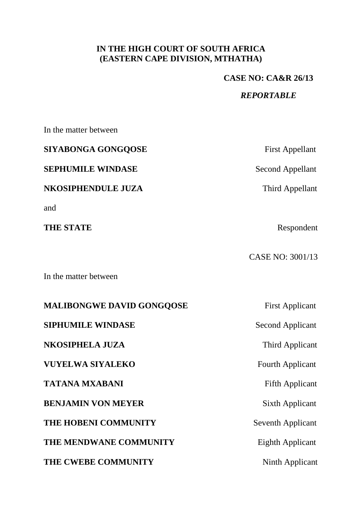# **IN THE HIGH COURT OF SOUTH AFRICA (EASTERN CAPE DIVISION, MTHATHA)**

# **CASE NO: CA&R 26/13**

# *REPORTABLE*

In the matter between **SIYABONGA GONGQOSE** First Appellant **SEPHUMILE WINDASE** Second Appellant **NKOSIPHENDULE JUZA** Third Appellant and **THE STATE** Respondent CASE NO: 3001/13 In the matter between **MALIBONGWE DAVID GONGQOSE** First Applicant **SIPHUMILE WINDASE** Second Applicant **NKOSIPHELA JUZA** Third Applicant **VUYELWA SIYALEKO** Fourth Applicant **TATANA MXABANI** Fifth Applicant **BENJAMIN VON MEYER** Sixth Applicant **THE HOBENI COMMUNITY** Seventh Applicant **THE MENDWANE COMMUNITY** Eighth Applicant **THE CWEBE COMMUNITY** Ninth Applicant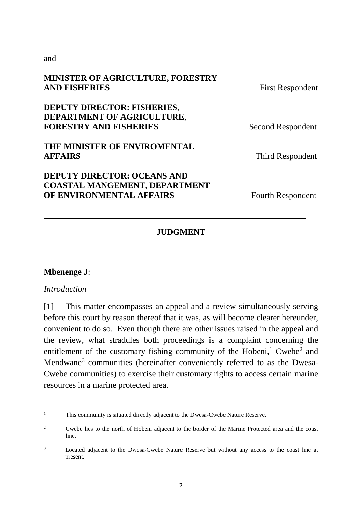#### and

# **MINISTER OF AGRICULTURE, FORESTRY AND FISHERIES** First Respondent **DEPUTY DIRECTOR: FISHERIES**,

# **DEPARTMENT OF AGRICULTURE**, **FORESTRY AND FISHERIES** Second Respondent

## **THE MINISTER OF ENVIROMENTAL AFFAIRS** Third Respondent

# **DEPUTY DIRECTOR: OCEANS AND COASTAL MANGEMENT, DEPARTMENT OF ENVIRONMENTAL AFFAIRS** Fourth Respondent

### **JUDGMENT**

### **Mbenenge J**:

### *Introduction*

<u>.</u>

[1] This matter encompasses an appeal and a review simultaneously serving before this court by reason thereof that it was, as will become clearer hereunder, convenient to do so. Even though there are other issues raised in the appeal and the review, what straddles both proceedings is a complaint concerning the entitlement of the customary fishing community of the Hobeni,<sup>[1](#page-1-0)</sup> Cwebe<sup>[2](#page-1-1)</sup> and Mendwane<sup>[3](#page-1-2)</sup> communities (hereinafter conveniently referred to as the Dwesa-Cwebe communities) to exercise their customary rights to access certain marine resources in a marine protected area.

<span id="page-1-0"></span><sup>1</sup> This community is situated directly adjacent to the Dwesa-Cwebe Nature Reserve.

<span id="page-1-1"></span><sup>&</sup>lt;sup>2</sup> Cwebe lies to the north of Hobeni adjacent to the border of the Marine Protected area and the coast line.

<span id="page-1-2"></span><sup>&</sup>lt;sup>3</sup> Located adjacent to the Dwesa-Cwebe Nature Reserve but without any access to the coast line at present.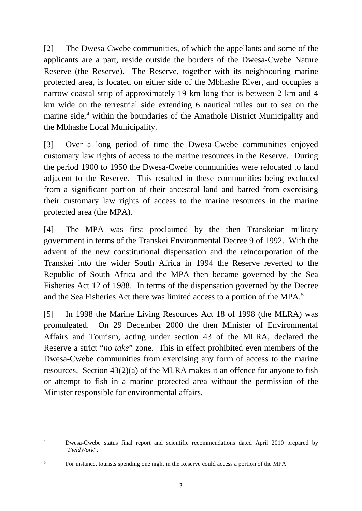[2] The Dwesa-Cwebe communities, of which the appellants and some of the applicants are a part, reside outside the borders of the Dwesa-Cwebe Nature Reserve (the Reserve). The Reserve, together with its neighbouring marine protected area, is located on either side of the Mbhashe River, and occupies a narrow coastal strip of approximately 19 km long that is between 2 km and 4 km wide on the terrestrial side extending 6 nautical miles out to sea on the marine side,<sup>[4](#page-2-0)</sup> within the boundaries of the Amathole District Municipality and the Mbhashe Local Municipality.

[3] Over a long period of time the Dwesa-Cwebe communities enjoyed customary law rights of access to the marine resources in the Reserve. During the period 1900 to 1950 the Dwesa-Cwebe communities were relocated to land adjacent to the Reserve. This resulted in these communities being excluded from a significant portion of their ancestral land and barred from exercising their customary law rights of access to the marine resources in the marine protected area (the MPA).

[4] The MPA was first proclaimed by the then Transkeian military government in terms of the Transkei Environmental Decree 9 of 1992. With the advent of the new constitutional dispensation and the reincorporation of the Transkei into the wider South Africa in 1994 the Reserve reverted to the Republic of South Africa and the MPA then became governed by the Sea Fisheries Act 12 of 1988. In terms of the dispensation governed by the Decree and the Sea Fisheries Act there was limited access to a portion of the MPA. [5](#page-2-1)

[5] In 1998 the Marine Living Resources Act 18 of 1998 (the MLRA) was promulgated. On 29 December 2000 the then Minister of Environmental Affairs and Tourism, acting under section 43 of the MLRA, declared the Reserve a strict "*no take*" zone. This in effect prohibited even members of the Dwesa-Cwebe communities from exercising any form of access to the marine resources. Section 43(2)(a) of the MLRA makes it an offence for anyone to fish or attempt to fish in a marine protected area without the permission of the Minister responsible for environmental affairs.

<span id="page-2-0"></span> $\overline{4}$ Dwesa-Cwebe status final report and scientific recommendations dated April 2010 prepared by "*FieldWork*".

<span id="page-2-1"></span><sup>&</sup>lt;sup>5</sup> For instance, tourists spending one night in the Reserve could access a portion of the MPA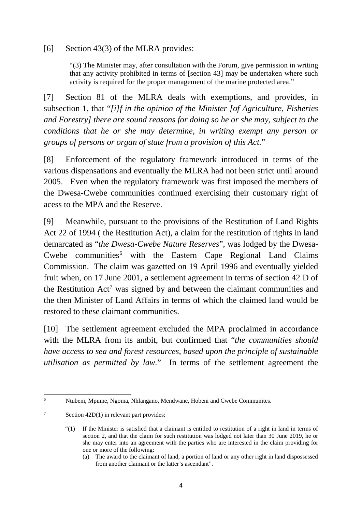[6] Section 43(3) of the MLRA provides:

"(3) The Minister may, after consultation with the Forum, give permission in writing that any activity prohibited in terms of [section 43] may be undertaken where such activity is required for the proper management of the marine protected area."

[7] Section 81 of the MLRA deals with exemptions, and provides, in subsection 1, that "*[i]f in the opinion of the Minister [of Agriculture, Fisheries and Forestry] there are sound reasons for doing so he or she may, subject to the conditions that he or she may determine, in writing exempt any person or groups of persons or organ of state from a provision of this Act.*"

[8] Enforcement of the regulatory framework introduced in terms of the various dispensations and eventually the MLRA had not been strict until around 2005. Even when the regulatory framework was first imposed the members of the Dwesa-Cwebe communities continued exercising their customary right of acess to the MPA and the Reserve.

[9] Meanwhile, pursuant to the provisions of the Restitution of Land Rights Act 22 of 1994 ( the Restitution Act), a claim for the restitution of rights in land demarcated as "*the Dwesa-Cwebe Nature Reserves*", was lodged by the Dwesa- $Cwebe$  communities<sup>[6](#page-3-0)</sup> with the Eastern Cape Regional Land Claims Commission. The claim was gazetted on 19 April 1996 and eventually yielded fruit when, on 17 June 2001, a settlement agreement in terms of section 42 D of the Restitution  $Act^7$  was signed by and between the claimant communities and the then Minister of Land Affairs in terms of which the claimed land would be restored to these claimant communities.

[10] The settlement agreement excluded the MPA proclaimed in accordance with the MLRA from its ambit, but confirmed that "*the communities should have access to sea and forest resources, based upon the principle of sustainable utilisation as permitted by law.*" In terms of the settlement agreement the

<span id="page-3-0"></span><sup>6</sup> Ntubeni, Mpume, Ngoma, Nhlangano, Mendwane, Hobeni and Cwebe Communites.

<span id="page-3-1"></span> $7 \qquad$  Section 42D(1) in relevant part provides:

<u>.</u>

<sup>&</sup>quot;(1) If the Minister is satisfied that a claimant is entitled to restitution of a right in land in terms of section 2, and that the claim for such restitution was lodged not later than 30 June 2019, he or she may enter into an agreement with the parties who are interested in the claim providing for one or more of the following:

<sup>(</sup>a) The award to the claimant of land, a portion of land or any other right in land dispossessed from another claimant or the latter's ascendant".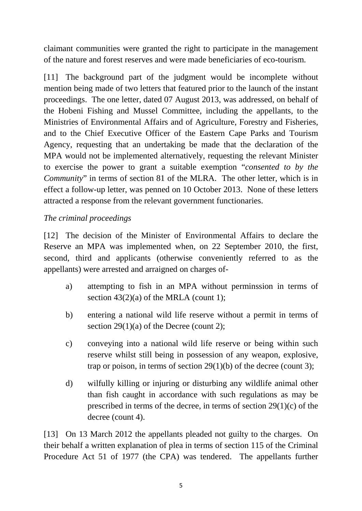claimant communities were granted the right to participate in the management of the nature and forest reserves and were made beneficiaries of eco-tourism.

[11] The background part of the judgment would be incomplete without mention being made of two letters that featured prior to the launch of the instant proceedings. The one letter, dated 07 August 2013, was addressed, on behalf of the Hobeni Fishing and Mussel Committee, including the appellants, to the Ministries of Environmental Affairs and of Agriculture, Forestry and Fisheries, and to the Chief Executive Officer of the Eastern Cape Parks and Tourism Agency, requesting that an undertaking be made that the declaration of the MPA would not be implemented alternatively, requesting the relevant Minister to exercise the power to grant a suitable exemption "*consented to by the Community*" in terms of section 81 of the MLRA. The other letter, which is in effect a follow-up letter, was penned on 10 October 2013. None of these letters attracted a response from the relevant government functionaries.

# *The criminal proceedings*

[12] The decision of the Minister of Environmental Affairs to declare the Reserve an MPA was implemented when, on 22 September 2010, the first, second, third and applicants (otherwise conveniently referred to as the appellants) were arrested and arraigned on charges of-

- a) attempting to fish in an MPA without perminssion in terms of section  $43(2)(a)$  of the MRLA (count 1);
- b) entering a national wild life reserve without a permit in terms of section 29(1)(a) of the Decree (count 2);
- c) conveying into a national wild life reserve or being within such reserve whilst still being in possession of any weapon, explosive, trap or poison, in terms of section  $29(1)(b)$  of the decree (count 3);
- d) wilfully killing or injuring or disturbing any wildlife animal other than fish caught in accordance with such regulations as may be prescribed in terms of the decree, in terms of section 29(1)(c) of the decree (count 4).

[13] On 13 March 2012 the appellants pleaded not guilty to the charges. On their behalf a written explanation of plea in terms of section 115 of the Criminal Procedure Act 51 of 1977 (the CPA) was tendered. The appellants further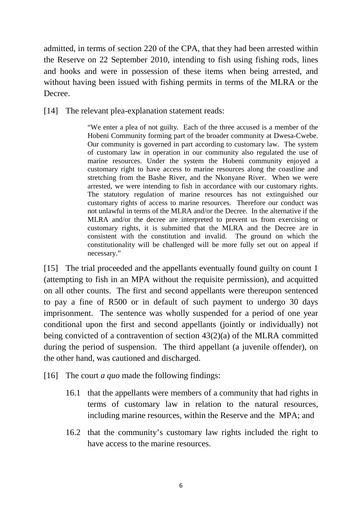admitted, in terms of section 220 of the CPA, that they had been arrested within the Reserve on 22 September 2010, intending to fish using fishing rods, lines and hooks and were in possession of these items when being arrested, and without having been issued with fishing permits in terms of the MLRA or the Decree.

[14] The relevant plea-explanation statement reads:

"We enter a plea of not guilty. Each of the three accused is a member of the Hobeni Community forming part of the broader community at Dwesa-Cwebe. Our community is governed in part according to customary law. The system of customary law in operation in our community also regulated the use of marine resources. Under the system the Hobeni community enjoyed a customary right to have access to marine resources along the coastline and stretching from the Bashe River, and the Nkonyane River. When we were arrested, we were intending to fish in accordance with our customary rights. The statutory regulation of marine resources has not extinguished our customary rights of access to marine resources. Therefore our conduct was not unlawful in terms of the MLRA and/or the Decree. In the alternative if the MLRA and/or the decree are interpreted to prevent us from exercising or customary rights, it is submitted that the MLRA and the Decree are in consistent with the constitution and invalid. The ground on which the constitutionality will be challenged will be more fully set out on appeal if necessary."

[15] The trial proceeded and the appellants eventually found guilty on count 1 (attempting to fish in an MPA without the requisite permission), and acquitted on all other counts. The first and second appellants were thereupon sentenced to pay a fine of R500 or in default of such payment to undergo 30 days imprisonment. The sentence was wholly suspended for a period of one year conditional upon the first and second appellants (jointly or individually) not being convicted of a contravention of section 43(2)(a) of the MLRA committed during the period of suspension. The third appellant (a juvenile offender), on the other hand, was cautioned and discharged.

- [16] The court *a quo* made the following findings:
	- 16.1 that the appellants were members of a community that had rights in terms of customary law in relation to the natural resources, including marine resources, within the Reserve and the MPA; and
	- 16.2 that the community's customary law rights included the right to have access to the marine resources.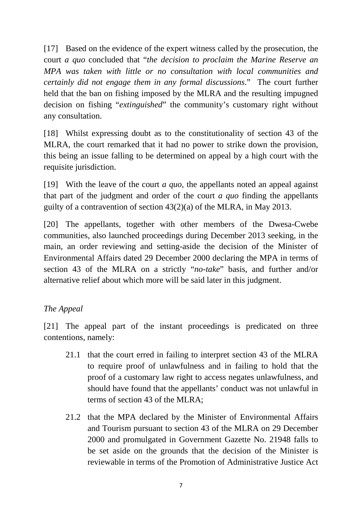[17] Based on the evidence of the expert witness called by the prosecution, the court *a quo* concluded that "*the decision to proclaim the Marine Reserve an MPA was taken with little or no consultation with local communities and certainly did not engage them in any formal discussions*." The court further held that the ban on fishing imposed by the MLRA and the resulting impugned decision on fishing "*extinguished*" the community's customary right without any consultation.

[18] Whilst expressing doubt as to the constitutionality of section 43 of the MLRA, the court remarked that it had no power to strike down the provision, this being an issue falling to be determined on appeal by a high court with the requisite jurisdiction.

[19] With the leave of the court *a quo*, the appellants noted an appeal against that part of the judgment and order of the court *a quo* finding the appellants guilty of a contravention of section 43(2)(a) of the MLRA, in May 2013.

[20] The appellants, together with other members of the Dwesa-Cwebe communities, also launched proceedings during December 2013 seeking, in the main, an order reviewing and setting-aside the decision of the Minister of Environmental Affairs dated 29 December 2000 declaring the MPA in terms of section 43 of the MLRA on a strictly "*no-take*" basis, and further and/or alternative relief about which more will be said later in this judgment.

# *The Appeal*

[21] The appeal part of the instant proceedings is predicated on three contentions, namely:

- 21.1 that the court erred in failing to interpret section 43 of the MLRA to require proof of unlawfulness and in failing to hold that the proof of a customary law right to access negates unlawfulness, and should have found that the appellants' conduct was not unlawful in terms of section 43 of the MLRA;
- 21.2 that the MPA declared by the Minister of Environmental Affairs and Tourism pursuant to section 43 of the MLRA on 29 December 2000 and promulgated in Government Gazette No. 21948 falls to be set aside on the grounds that the decision of the Minister is reviewable in terms of the Promotion of Administrative Justice Act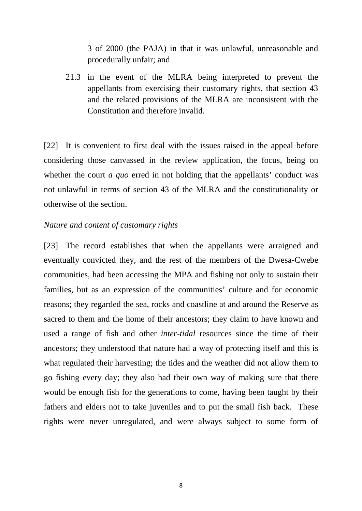3 of 2000 (the PAJA) in that it was unlawful, unreasonable and procedurally unfair; and

21.3 in the event of the MLRA being interpreted to prevent the appellants from exercising their customary rights, that section 43 and the related provisions of the MLRA are inconsistent with the Constitution and therefore invalid.

[22] It is convenient to first deal with the issues raised in the appeal before considering those canvassed in the review application, the focus, being on whether the court *a quo* erred in not holding that the appellants' conduct was not unlawful in terms of section 43 of the MLRA and the constitutionality or otherwise of the section.

### *Nature and content of customary rights*

[23] The record establishes that when the appellants were arraigned and eventually convicted they, and the rest of the members of the Dwesa-Cwebe communities, had been accessing the MPA and fishing not only to sustain their families, but as an expression of the communities' culture and for economic reasons; they regarded the sea, rocks and coastline at and around the Reserve as sacred to them and the home of their ancestors; they claim to have known and used a range of fish and other *inter-tidal* resources since the time of their ancestors; they understood that nature had a way of protecting itself and this is what regulated their harvesting; the tides and the weather did not allow them to go fishing every day; they also had their own way of making sure that there would be enough fish for the generations to come, having been taught by their fathers and elders not to take juveniles and to put the small fish back. These rights were never unregulated, and were always subject to some form of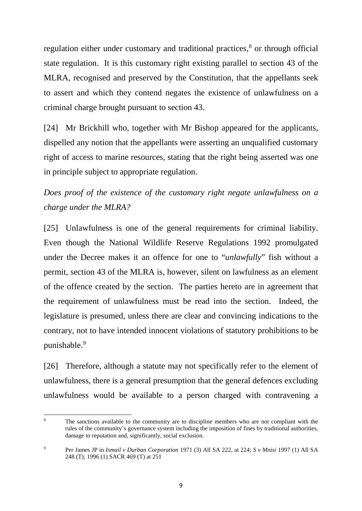regulation either under customary and traditional practices,<sup>[8](#page-8-0)</sup> or through official state regulation. It is this customary right existing parallel to section 43 of the MLRA, recognised and preserved by the Constitution, that the appellants seek to assert and which they contend negates the existence of unlawfulness on a criminal charge brought pursuant to section 43.

[24] Mr Brickhill who, together with Mr Bishop appeared for the applicants, dispelled any notion that the appellants were asserting an unqualified customary right of access to marine resources, stating that the right being asserted was one in principle subject to appropriate regulation.

*Does proof of the existence of the customary right negate unlawfulness on a charge under the MLRA?*

[25] Unlawfulness is one of the general requirements for criminal liability. Even though the National Wildlife Reserve Regulations 1992 promulgated under the Decree makes it an offence for one to "*unlawfully*" fish without a permit, section 43 of the MLRA is, however, silent on lawfulness as an element of the offence created by the section. The parties hereto are in agreement that the requirement of unlawfulness must be read into the section. Indeed, the legislature is presumed, unless there are clear and convincing indications to the contrary, not to have intended innocent violations of statutory prohibitions to be punishable.<sup>[9](#page-8-1)</sup>

[26] Therefore, although a statute may not specifically refer to the element of unlawfulness, there is a general presumption that the general defences excluding unlawfulness would be available to a person charged with contravening a

**.** 

<span id="page-8-0"></span><sup>&</sup>lt;sup>8</sup> The sanctions available to the community are to discipline members who are not compliant with the rules of the community's governance system including the imposition of fines by traditional authorities, damage to reputation and, significantly, social exclusion.

<span id="page-8-1"></span><sup>9</sup> Per James JP in *Ismail v Durban Corporation* 1971 (3) All SA 222, at 224; *S v Mnisi* 1997 (1) All SA 248 (T); 1996 (1) SACR 469 (T) at 251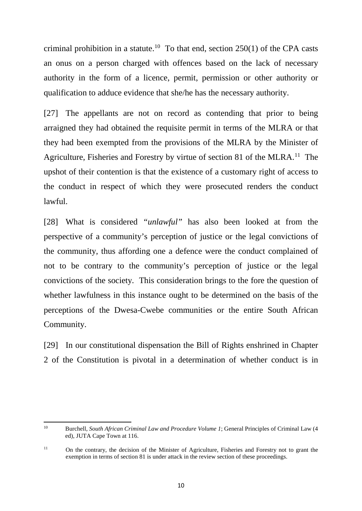criminal prohibition in a statute.<sup>10</sup> To that end, section  $250(1)$  of the CPA casts an onus on a person charged with offences based on the lack of necessary authority in the form of a licence, permit, permission or other authority or qualification to adduce evidence that she/he has the necessary authority.

[27] The appellants are not on record as contending that prior to being arraigned they had obtained the requisite permit in terms of the MLRA or that they had been exempted from the provisions of the MLRA by the Minister of Agriculture, Fisheries and Forestry by virtue of section 81 of the MLRA.<sup>11</sup> The upshot of their contention is that the existence of a customary right of access to the conduct in respect of which they were prosecuted renders the conduct lawful.

[28] What is considered *"unlawful"* has also been looked at from the perspective of a community's perception of justice or the legal convictions of the community, thus affording one a defence were the conduct complained of not to be contrary to the community's perception of justice or the legal convictions of the society. This consideration brings to the fore the question of whether lawfulness in this instance ought to be determined on the basis of the perceptions of the Dwesa-Cwebe communities or the entire South African Community.

[29] In our constitutional dispensation the Bill of Rights enshrined in Chapter 2 of the Constitution is pivotal in a determination of whether conduct is in

<span id="page-9-0"></span> $10<sup>10</sup>$ <sup>10</sup> Burchell, *South African Criminal Law and Procedure Volume 1*; General Principles of Criminal Law (4 ed), JUTA Cape Town at 116.

<span id="page-9-1"></span><sup>&</sup>lt;sup>11</sup> On the contrary, the decision of the Minister of Agriculture. Fisheries and Forestry not to grant the exemption in terms of section 81 is under attack in the review section of these proceedings.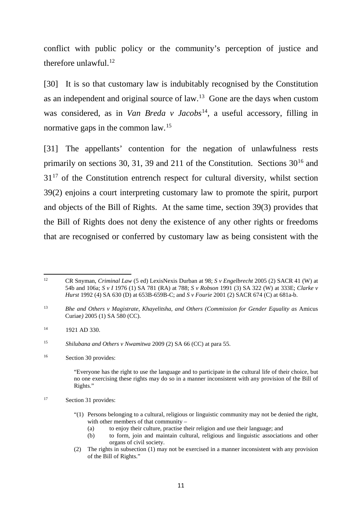conflict with public policy or the community's perception of justice and therefore unlawful. $12$ 

[30] It is so that customary law is indubitably recognised by the Constitution as an independent and original source of law.[13](#page-10-1) Gone are the days when custom was considered, as in *Van Breda v Jacobs*<sup>[14](#page-10-2)</sup>, a useful accessory, filling in normative gaps in the common law.<sup>[15](#page-10-3)</sup>

[31] The appellants' contention for the negation of unlawfulness rests primarily on sections 30, 31, 39 and 211 of the Constitution. Sections  $30^{16}$  $30^{16}$  $30^{16}$  and  $31<sup>17</sup>$  $31<sup>17</sup>$  $31<sup>17</sup>$  of the Constitution entrench respect for cultural diversity, whilst section 39(2) enjoins a court interpreting customary law to promote the spirit, purport and objects of the Bill of Rights. At the same time, section 39(3) provides that the Bill of Rights does not deny the existence of any other rights or freedoms that are recognised or conferred by customary law as being consistent with the

- (a) to enjoy their culture, practise their religion and use their language; and
- (b) to form, join and maintain cultural, religious and linguistic associations and other organs of civil society.
- (2) The rights in subsection (1) may not be exercised in a manner inconsistent with any provision of the Bill of Rights."

<span id="page-10-0"></span> $12$ <sup>12</sup> CR Snyman, *Criminal Law* (5 ed) LexisNexis Durban at 98; *S v Engelbrecht* 2005 (2) SACR 41 (W) at 54b and 106a; *S v I* 1976 (1) SA 781 (RA) at 788; *S v Robson* 1991 (3) SA 322 (W) at 333E; *Clarke v Hurst* 1992 (4) SA 630 (D) at 653B-659B-C; and *S v Fourie* 2001 (2) SACR 674 (C) at 681a-b.

<span id="page-10-1"></span><sup>&</sup>lt;sup>13</sup> *Bhe and Others v Magistrate, Khayelitsha, and Others (Commission for Gender Equality as Amicus* Curiae*)* 2005 (1) SA 580 (CC).

<span id="page-10-2"></span><sup>&</sup>lt;sup>14</sup> 1921 AD 330.

<span id="page-10-3"></span><sup>15</sup> *Shilubana and Others v Nwamitwa* 2009 (2) SA 66 (CC) at para 55.

<span id="page-10-4"></span><sup>&</sup>lt;sup>16</sup> Section 30 provides:

<sup>&</sup>quot;Everyone has the right to use the language and to participate in the cultural life of their choice, but no one exercising these rights may do so in a manner inconsistent with any provision of the Bill of Rights."

<span id="page-10-5"></span><sup>&</sup>lt;sup>17</sup> Section 31 provides:

<sup>&</sup>quot;(1) Persons belonging to a cultural, religious or linguistic community may not be denied the right, with other members of that community –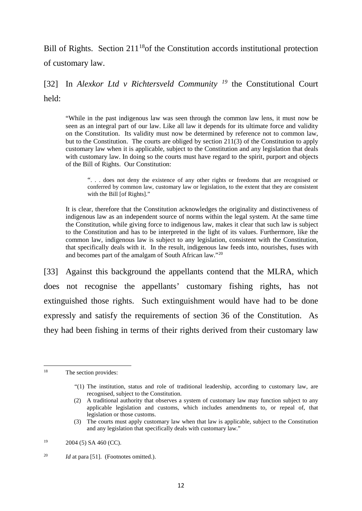Bill of Rights. Section 211<sup>[18](#page-11-0)</sup> of the Constitution accords institutional protection of customary law.

# [32] In *Alexkor Ltd v Richtersveld Community [19](#page-11-1)* the Constitutional Court held:

"While in the past indigenous law was seen through the common law lens, it must now be seen as an integral part of our law. Like all law it depends for its ultimate force and validity on the Constitution. Its validity must now be determined by reference not to common law, but to the Constitution. The courts are obliged by section 211(3) of the Constitution to apply customary law when it is applicable, subject to the Constitution and any legislation that deals with customary law. In doing so the courts must have regard to the spirit, purport and objects of the Bill of Rights. Our Constitution:

". . . does not deny the existence of any other rights or freedoms that are recognised or conferred by common law, customary law or legislation, to the extent that they are consistent with the Bill [of Rights]."

It is clear, therefore that the Constitution acknowledges the originality and distinctiveness of indigenous law as an independent source of norms within the legal system. At the same time the Constitution, while giving force to indigenous law, makes it clear that such law is subject to the Constitution and has to be interpreted in the light of its values. Furthermore, like the common law, indigenous law is subject to any legislation, consistent with the Constitution, that specifically deals with it. In the result, indigenous law feeds into, nourishes, fuses with and becomes part of the amalgam of South African law."[20](#page-11-2)

[33] Against this background the appellants contend that the MLRA, which does not recognise the appellants' customary fishing rights, has not extinguished those rights. Such extinguishment would have had to be done expressly and satisfy the requirements of section 36 of the Constitution. As they had been fishing in terms of their rights derived from their customary law

<u>.</u>

<span id="page-11-0"></span><sup>&</sup>lt;sup>18</sup> The section provides:

<sup>&</sup>quot;(1) The institution, status and role of traditional leadership, according to customary law, are recognised, subject to the Constitution.

<sup>(2)</sup> A traditional authority that observes a system of customary law may function subject to any applicable legislation and customs, which includes amendments to, or repeal of, that legislation or those customs.

<sup>(3)</sup> The courts must apply customary law when that law is applicable, subject to the Constitution and any legislation that specifically deals with customary law."

<span id="page-11-1"></span> $19$  2004 (5) SA 460 (CC).

<span id="page-11-2"></span><sup>&</sup>lt;sup>20</sup> *Id* at para [51]. (Footnotes omitted.).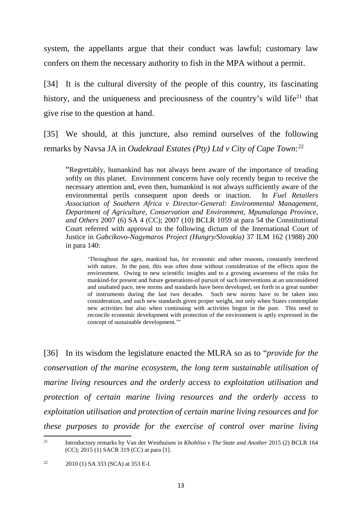system, the appellants argue that their conduct was lawful; customary law confers on them the necessary authority to fish in the MPA without a permit.

[34] It is the cultural diversity of the people of this country, its fascinating history, and the uniqueness and preciousness of the country's wild life<sup>[21](#page-12-0)</sup> that give rise to the question at hand.

[35] We should, at this juncture, also remind ourselves of the following remarks by Navsa JA in *Oudekraal Estates (Pty) Ltd v City of Cape Town*: [22](#page-12-1)

"Regrettably, humankind has not always been aware of the importance of treading softly on this planet. Environment concerns have only recently begun to receive the necessary attention and, even then, humankind is not always sufficiently aware of the environmental perils consequent upon deeds or inaction. In *Fuel Retailers Association of Southern Africa v Director-General: Environmental Management, Department of Agriculture, Conservation and Environment, Mpumalanga Province, and Others* 2007 (6) SA 4 (CC); 2007 (10) BCLR 1059 at para 54 the Constitutional Court referred with approval to the following dictum of the International Court of Justice in *Gabcikovo-Nagymaros Project (Hungry/Slovakia)* 37 ILM 162 (1988) 200 in para 140:

'Throughout the ages, mankind has, for economic and other reasons, constantly interfered with nature. In the past, this was often done without consideration of the effects upon the environment. Owing to new scientific insights and to a growing awareness of the risks for mankind-for present and future generations-of pursuit of such interventions at an unconsidered and unabated pace, new norms and standards have been developed, set forth in a great number of instruments during the last two decades. Such new norms have to be taken into consideration, and such new standards given proper weight, not only when States contemplate new activities but also when continuing with activities begun in the past. This need to reconcile economic development with protection of the environment is aptly expressed in the concept of sustainable development.'"

[36] In its wisdom the legislature enacted the MLRA so as to "*provide for the conservation of the marine ecosystem, the long term sustainable utilisation of marine living resources and the orderly access to exploitation utilisation and protection of certain marine living resources and the orderly access to exploitation utilisation and protection of certain marine living resources and for these purposes to provide for the exercise of control over marine living* 

<span id="page-12-0"></span><sup>21</sup> Introductory remarks by Van der Westhuisen in *Khohliso v The State and Another* 2015 (2) BCLR 164 (CC); 2015 (1) SACR 319 (CC) at para [1].

<span id="page-12-1"></span><sup>&</sup>lt;sup>22</sup> 2010 (1) SA 333 (SCA) at 353 E-I.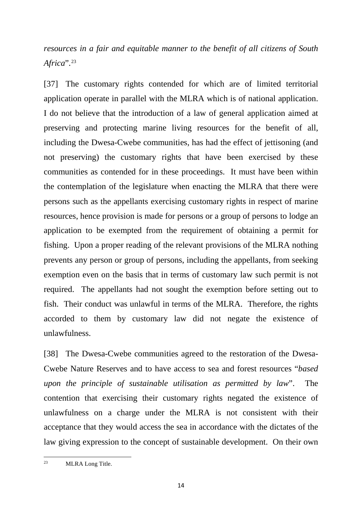*resources in a fair and equitable manner to the benefit of all citizens of South Africa*"*.* [23](#page-13-0)

[37] The customary rights contended for which are of limited territorial application operate in parallel with the MLRA which is of national application. I do not believe that the introduction of a law of general application aimed at preserving and protecting marine living resources for the benefit of all, including the Dwesa-Cwebe communities, has had the effect of jettisoning (and not preserving) the customary rights that have been exercised by these communities as contended for in these proceedings. It must have been within the contemplation of the legislature when enacting the MLRA that there were persons such as the appellants exercising customary rights in respect of marine resources, hence provision is made for persons or a group of persons to lodge an application to be exempted from the requirement of obtaining a permit for fishing. Upon a proper reading of the relevant provisions of the MLRA nothing prevents any person or group of persons, including the appellants, from seeking exemption even on the basis that in terms of customary law such permit is not required. The appellants had not sought the exemption before setting out to fish. Their conduct was unlawful in terms of the MLRA. Therefore, the rights accorded to them by customary law did not negate the existence of unlawfulness.

[38] The Dwesa-Cwebe communities agreed to the restoration of the Dwesa-Cwebe Nature Reserves and to have access to sea and forest resources "*based upon the principle of sustainable utilisation as permitted by law*". The contention that exercising their customary rights negated the existence of unlawfulness on a charge under the MLRA is not consistent with their acceptance that they would access the sea in accordance with the dictates of the law giving expression to the concept of sustainable development. On their own

<span id="page-13-0"></span> $23$ MLRA Long Title.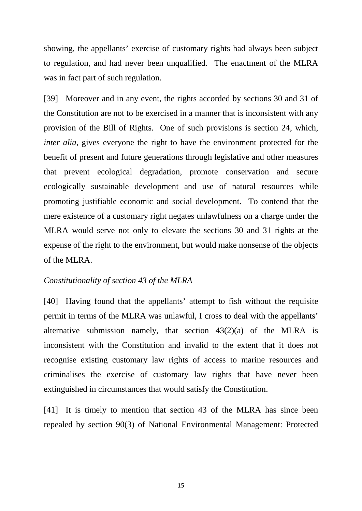showing, the appellants' exercise of customary rights had always been subject to regulation, and had never been unqualified. The enactment of the MLRA was in fact part of such regulation.

[39] Moreover and in any event, the rights accorded by sections 30 and 31 of the Constitution are not to be exercised in a manner that is inconsistent with any provision of the Bill of Rights. One of such provisions is section 24, which, *inter alia*, gives everyone the right to have the environment protected for the benefit of present and future generations through legislative and other measures that prevent ecological degradation, promote conservation and secure ecologically sustainable development and use of natural resources while promoting justifiable economic and social development. To contend that the mere existence of a customary right negates unlawfulness on a charge under the MLRA would serve not only to elevate the sections 30 and 31 rights at the expense of the right to the environment, but would make nonsense of the objects of the MLRA.

#### *Constitutionality of section 43 of the MLRA*

[40] Having found that the appellants' attempt to fish without the requisite permit in terms of the MLRA was unlawful, I cross to deal with the appellants' alternative submission namely, that section 43(2)(a) of the MLRA is inconsistent with the Constitution and invalid to the extent that it does not recognise existing customary law rights of access to marine resources and criminalises the exercise of customary law rights that have never been extinguished in circumstances that would satisfy the Constitution.

[41] It is timely to mention that section 43 of the MLRA has since been repealed by section 90(3) of National Environmental Management: Protected

15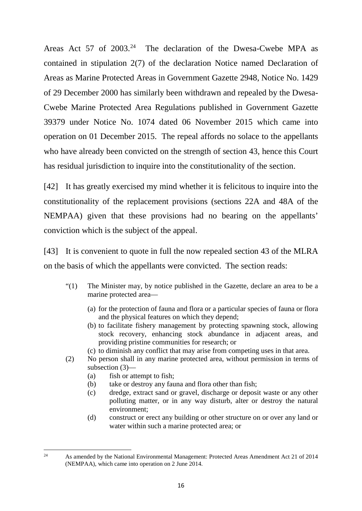Areas Act 57 of 2003.<sup>[24](#page-15-0)</sup> The declaration of the Dwesa-Cwebe MPA as contained in stipulation 2(7) of the declaration Notice named Declaration of Areas as Marine Protected Areas in Government Gazette 2948, Notice No. 1429 of 29 December 2000 has similarly been withdrawn and repealed by the Dwesa-Cwebe Marine Protected Area Regulations published in Government Gazette 39379 under Notice No. 1074 dated 06 November 2015 which came into operation on 01 December 2015. The repeal affords no solace to the appellants who have already been convicted on the strength of section 43, hence this Court has residual jurisdiction to inquire into the constitutionality of the section.

[42] It has greatly exercised my mind whether it is felicitous to inquire into the constitutionality of the replacement provisions (sections 22A and 48A of the NEMPAA) given that these provisions had no bearing on the appellants' conviction which is the subject of the appeal.

[43] It is convenient to quote in full the now repealed section 43 of the MLRA on the basis of which the appellants were convicted. The section reads:

- "(1) The Minister may, by notice published in the Gazette, declare an area to be a marine protected area—
	- (a) for the protection of fauna and flora or a particular species of fauna or flora and the physical features on which they depend;
	- (b) to facilitate fishery management by protecting spawning stock, allowing stock recovery, enhancing stock abundance in adjacent areas, and providing pristine communities for research; or
	- (c) to diminish any conflict that may arise from competing uses in that area.
- (2) No person shall in any marine protected area, without permission in terms of subsection (3)—
	- (a) fish or attempt to fish;
	- (b) take or destroy any fauna and flora other than fish;
	- (c) dredge, extract sand or gravel, discharge or deposit waste or any other polluting matter, or in any way disturb, alter or destroy the natural environment;
	- (d) construct or erect any building or other structure on or over any land or water within such a marine protected area; or

<span id="page-15-0"></span><sup>&</sup>lt;u>.</u> <sup>24</sup> As amended by the National Environmental Management: Protected Areas Amendment Act 21 of 2014 (NEMPAA), which came into operation on 2 June 2014.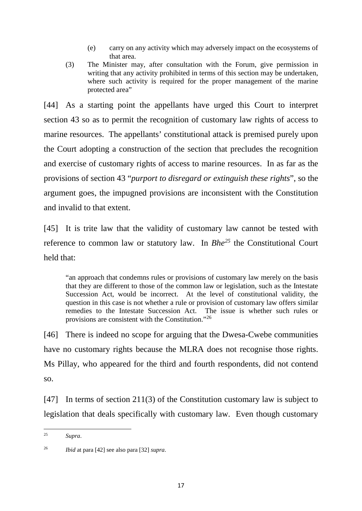- (e) carry on any activity which may adversely impact on the ecosystems of that area.
- (3) The Minister may, after consultation with the Forum, give permission in writing that any activity prohibited in terms of this section may be undertaken, where such activity is required for the proper management of the marine protected area"

[44] As a starting point the appellants have urged this Court to interpret section 43 so as to permit the recognition of customary law rights of access to marine resources. The appellants' constitutional attack is premised purely upon the Court adopting a construction of the section that precludes the recognition and exercise of customary rights of access to marine resources. In as far as the provisions of section 43 "*purport to disregard or extinguish these rights*", so the argument goes, the impugned provisions are inconsistent with the Constitution and invalid to that extent.

[45] It is trite law that the validity of customary law cannot be tested with reference to common law or statutory law. In *Bhe[25](#page-16-0)* the Constitutional Court held that:

"an approach that condemns rules or provisions of customary law merely on the basis that they are different to those of the common law or legislation, such as the Intestate Succession Act, would be incorrect. At the level of constitutional validity, the question in this case is not whether a rule or provision of customary law offers similar remedies to the Intestate Succession Act. The issue is whether such rules or provisions are consistent with the Constitution."[26](#page-16-1)

[46] There is indeed no scope for arguing that the Dwesa-Cwebe communities have no customary rights because the MLRA does not recognise those rights. Ms Pillay, who appeared for the third and fourth respondents, did not contend so.

[47] In terms of section 211(3) of the Constitution customary law is subject to legislation that deals specifically with customary law. Even though customary

<span id="page-16-0"></span><sup>25</sup> <sup>25</sup> *Supra*.

<span id="page-16-1"></span><sup>26</sup> *Ibid* at para [42] see also para [32] *supra*.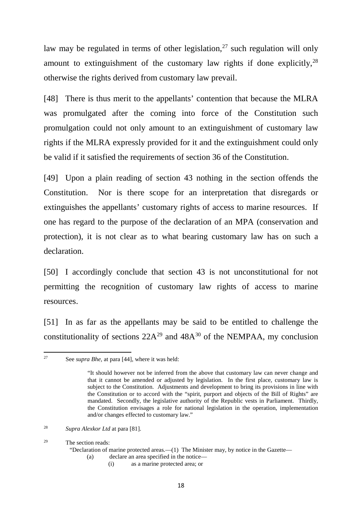law may be regulated in terms of other legislation,  $27$  such regulation will only amount to extinguishment of the customary law rights if done explicitly,  $28$ otherwise the rights derived from customary law prevail.

[48] There is thus merit to the appellants' contention that because the MLRA was promulgated after the coming into force of the Constitution such promulgation could not only amount to an extinguishment of customary law rights if the MLRA expressly provided for it and the extinguishment could only be valid if it satisfied the requirements of section 36 of the Constitution.

[49] Upon a plain reading of section 43 nothing in the section offends the Constitution. Nor is there scope for an interpretation that disregards or extinguishes the appellants' customary rights of access to marine resources. If one has regard to the purpose of the declaration of an MPA (conservation and protection), it is not clear as to what bearing customary law has on such a declaration.

<span id="page-17-3"></span>[50] I accordingly conclude that section 43 is not unconstitutional for not permitting the recognition of customary law rights of access to marine resources.

[51] In as far as the appellants may be said to be entitled to challenge the constitutionality of sections  $22A^{29}$  $22A^{29}$  $22A^{29}$  and  $48A^{30}$  of the NEMPAA, my conclusion

(a) declare an area specified in the notice—

<span id="page-17-0"></span><sup>27</sup> See *supra Bhe*, at para [44], where it was held:

<sup>&</sup>quot;It should however not be inferred from the above that customary law can never change and that it cannot be amended or adjusted by legislation. In the first place, customary law is subject to the Constitution. Adjustments and development to bring its provisions in line with the Constitution or to accord with the "spirit, purport and objects of the Bill of Rights" are mandated. Secondly, the legislative authority of the Republic vests in Parliament. Thirdly, the Constitution envisages a role for national legislation in the operation, implementation and/or changes effected to customary law."

<span id="page-17-1"></span><sup>28</sup> *Supra Alexkor Ltd* at para [81].

<span id="page-17-2"></span><sup>29</sup> The section reads:

<sup>&</sup>quot;Declaration of marine protected areas.— $(1)$  The Minister may, by notice in the Gazette—

<sup>(</sup>i) as a marine protected area; or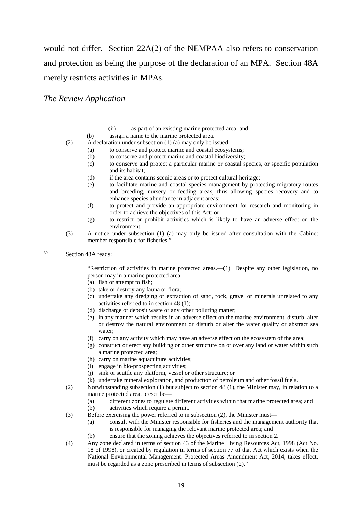would not differ. Section 22A(2) of the NEMPAA also refers to conservation and protection as being the purpose of the declaration of an MPA. Section 48A merely restricts activities in MPAs.

*The Review Application*

**.** 

|    |     | as part of an existing marine protected area; and<br>(ii)                                             |
|----|-----|-------------------------------------------------------------------------------------------------------|
|    |     | assign a name to the marine protected area.<br>(b)                                                    |
|    | (2) | A declaration under subsection $(1)$ (a) may only be issued—                                          |
|    |     | to conserve and protect marine and coastal ecosystems;<br>(a)                                         |
|    |     | (b)<br>to conserve and protect marine and coastal biodiversity;                                       |
|    |     | to conserve and protect a particular marine or coastal species, or specific population<br>(c)         |
|    |     | and its habitat;                                                                                      |
|    |     | (d)<br>if the area contains scenic areas or to protect cultural heritage;                             |
|    |     | to facilitate marine and coastal species management by protecting migratory routes<br>(e)             |
|    |     | and breeding, nursery or feeding areas, thus allowing species recovery and to                         |
|    |     | enhance species abundance in adjacent areas;                                                          |
|    |     | (f)<br>to protect and provide an appropriate environment for research and monitoring in               |
|    |     | order to achieve the objectives of this Act; or                                                       |
|    |     | to restrict or prohibit activities which is likely to have an adverse effect on the<br>(g)            |
|    |     | environment.                                                                                          |
|    | (3) | A notice under subsection (1) (a) may only be issued after consultation with the Cabinet              |
|    |     | member responsible for fisheries."                                                                    |
|    |     |                                                                                                       |
| 30 |     | Section 48A reads:                                                                                    |
|    |     |                                                                                                       |
|    |     | "Restriction of activities in marine protected areas.— $(1)$ Despite any other legislation, no        |
|    |     | person may in a marine protected area-                                                                |
|    |     | (a) fish or attempt to fish;                                                                          |
|    |     | (b) take or destroy any fauna or flora;                                                               |
|    |     | (c) undertake any dredging or extraction of sand, rock, gravel or minerals unrelated to any           |
|    |     | activities referred to in section 48 (1);                                                             |
|    |     | (d) discharge or deposit waste or any other polluting matter;                                         |
|    |     | (e) in any manner which results in an adverse effect on the marine environment, disturb, alter        |
|    |     | or destroy the natural environment or disturb or alter the water quality or abstract sea              |
|    |     | water;                                                                                                |
|    |     | (f) carry on any activity which may have an adverse effect on the ecosystem of the area;              |
|    |     | (g) construct or erect any building or other structure on or over any land or water within such       |
|    |     | a marine protected area;                                                                              |
|    |     | (h) carry on marine aquaculture activities;                                                           |
|    |     | (i) engage in bio-prospecting activities;                                                             |
|    |     | (j) sink or scuttle any platform, vessel or other structure; or                                       |
|    |     | (k) undertake mineral exploration, and production of petroleum and other fossil fuels.                |
|    | (2) | Notwithstanding subsection $(1)$ but subject to section 48 $(1)$ , the Minister may, in relation to a |
|    |     | marine protected area, prescribe—                                                                     |
|    |     | different zones to regulate different activities within that marine protected area; and<br>(a)        |
|    |     | (b)<br>activities which require a permit.                                                             |
|    | (3) | Before exercising the power referred to in subsection (2), the Minister must—                         |
|    |     | consult with the Minister responsible for fisheries and the management authority that<br>(a)          |
|    |     | is responsible for managing the relevant marine protected area; and                                   |
|    |     | ensure that the zoning achieves the objectives referred to in section 2.<br>(b)                       |
|    | (4) | Any zone declared in terms of section 43 of the Marine Living Resources Act, 1998 (Act No.            |
|    |     | 18 of 1998), or created by regulation in terms of section 77 of that Act which exists when the        |
|    |     | National Environmental Management: Protected Areas Amendment Act, 2014, takes effect,                 |

must be regarded as a zone prescribed in terms of subsection (2)."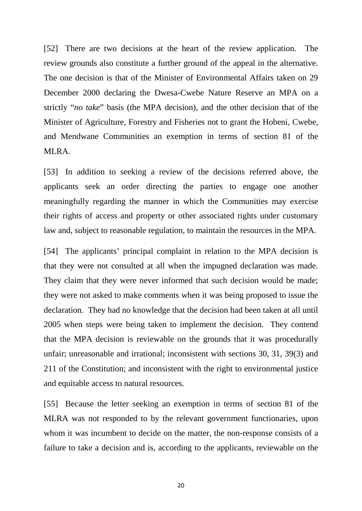[52] There are two decisions at the heart of the review application. The review grounds also constitute a further ground of the appeal in the alternative. The one decision is that of the Minister of Environmental Affairs taken on 29 December 2000 declaring the Dwesa-Cwebe Nature Reserve an MPA on a strictly "*no take*" basis (the MPA decision), and the other decision that of the Minister of Agriculture, Forestry and Fisheries not to grant the Hobeni, Cwebe, and Mendwane Communities an exemption in terms of section 81 of the MLRA.

[53] In addition to seeking a review of the decisions referred above, the applicants seek an order directing the parties to engage one another meaningfully regarding the manner in which the Communities may exercise their rights of access and property or other associated rights under customary law and, subject to reasonable regulation, to maintain the resources in the MPA.

[54] The applicants' principal complaint in relation to the MPA decision is that they were not consulted at all when the impugned declaration was made. They claim that they were never informed that such decision would be made; they were not asked to make comments when it was being proposed to issue the declaration. They had no knowledge that the decision had been taken at all until 2005 when steps were being taken to implement the decision. They contend that the MPA decision is reviewable on the grounds that it was procedurally unfair; unreasonable and irrational; inconsistent with sections 30, 31, 39(3) and 211 of the Constitution; and inconsistent with the right to environmental justice and equitable access to natural resources.

[55] Because the letter seeking an exemption in terms of section 81 of the MLRA was not responded to by the relevant government functionaries, upon whom it was incumbent to decide on the matter, the non-response consists of a failure to take a decision and is, according to the applicants, reviewable on the

20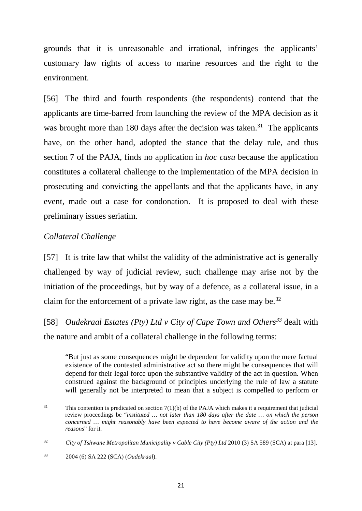grounds that it is unreasonable and irrational, infringes the applicants' customary law rights of access to marine resources and the right to the environment.

[56] The third and fourth respondents (the respondents) contend that the applicants are time-barred from launching the review of the MPA decision as it was brought more than 180 days after the decision was taken.<sup>31</sup> The applicants have, on the other hand, adopted the stance that the delay rule, and thus section 7 of the PAJA, finds no application in *hoc casu* because the application constitutes a collateral challenge to the implementation of the MPA decision in prosecuting and convicting the appellants and that the applicants have, in any event, made out a case for condonation. It is proposed to deal with these preliminary issues seriatim.

# *Collateral Challenge*

[57] It is trite law that whilst the validity of the administrative act is generally challenged by way of judicial review, such challenge may arise not by the initiation of the proceedings, but by way of a defence, as a collateral issue, in a claim for the enforcement of a private law right, as the case may be.<sup>[32](#page-20-1)</sup>

[58] *Oudekraal Estates (Pty) Ltd v City of Cape Town and Others[33](#page-20-2)* dealt with the nature and ambit of a collateral challenge in the following terms:

"But just as some consequences might be dependent for validity upon the mere factual existence of the contested administrative act so there might be consequences that will depend for their legal force upon the substantive validity of the act in question. When construed against the background of principles underlying the rule of law a statute will generally not be interpreted to mean that a subject is compelled to perform or

<span id="page-20-0"></span> $31$ This contention is predicated on section  $7(1)(b)$  of the PAJA which makes it a requirement that judicial review proceedings be "*instituted … not later than 180 days after the date … on which the person concerned … might reasonably have been expected to have become aware of the action and the reasons*" for it.

<span id="page-20-1"></span><sup>&</sup>lt;sup>32</sup> *City of Tshwane Metropolitan Municipality v Cable City (Pty) Ltd* 2010 (3) SA 589 (SCA) at para [13].

<span id="page-20-2"></span><sup>33</sup> 2004 (6) SA 222 (SCA) (*Oudekraal*).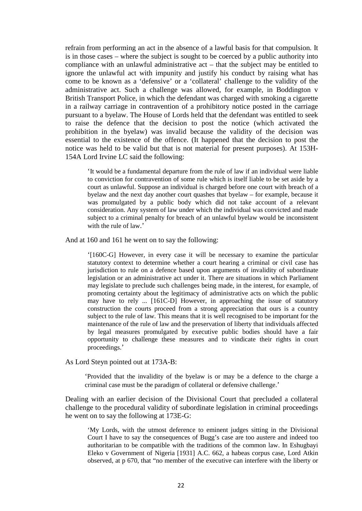refrain from performing an act in the absence of a lawful basis for that compulsion. It is in those cases – where the subject is sought to be coerced by a public authority into compliance with an unlawful administrative act – that the subject may be entitled to ignore the unlawful act with impunity and justify his conduct by raising what has come to be known as a 'defensive' or a 'collateral' challenge to the validity of the administrative act. Such a challenge was allowed, for example, in Boddington v British Transport Police, in which the defendant was charged with smoking a cigarette in a railway carriage in contravention of a prohibitory notice posted in the carriage pursuant to a byelaw. The House of Lords held that the defendant was entitled to seek to raise the defence that the decision to post the notice (which activated the prohibition in the byelaw) was invalid because the validity of the decision was essential to the existence of the offence. (It happened that the decision to post the notice was held to be valid but that is not material for present purposes). At 153H-154A Lord Irvine LC said the following:

'It would be a fundamental departure from the rule of law if an individual were liable to conviction for contravention of some rule which is itself liable to be set aside by a court as unlawful. Suppose an individual is charged before one court with breach of a byelaw and the next day another court quashes that byelaw – for example, because it was promulgated by a public body which did not take account of a relevant consideration. Any system of law under which the individual was convicted and made subject to a criminal penalty for breach of an unlawful byelaw would be inconsistent with the rule of law.'

And at 160 and 161 he went on to say the following:

'[160C-G] However, in every case it will be necessary to examine the particular statutory context to determine whether a court hearing a criminal or civil case has jurisdiction to rule on a defence based upon arguments of invalidity of subordinate legislation or an administrative act under it. There are situations in which Parliament may legislate to preclude such challenges being made, in the interest, for example, of promoting certainty about the legitimacy of administrative acts on which the public may have to rely ... [161C-D] However, in approaching the issue of statutory construction the courts proceed from a strong appreciation that ours is a country subject to the rule of law. This means that it is well recognised to be important for the maintenance of the rule of law and the preservation of liberty that individuals affected by legal measures promulgated by executive public bodies should have a fair opportunity to challenge these measures and to vindicate their rights in court proceedings.'

As Lord Steyn pointed out at 173A-B:

'Provided that the invalidity of the byelaw is or may be a defence to the charge a criminal case must be the paradigm of collateral or defensive challenge.'

Dealing with an earlier decision of the Divisional Court that precluded a collateral challenge to the procedural validity of subordinate legislation in criminal proceedings he went on to say the following at 173E-G:

'My Lords, with the utmost deference to eminent judges sitting in the Divisional Court I have to say the consequences of Bugg's case are too austere and indeed too authoritarian to be compatible with the traditions of the common law. In Eshugbayi Eleko v Government of Nigeria [1931] A.C. 662, a habeas corpus case, Lord Atkin observed, at p 670, that "no member of the executive can interfere with the liberty or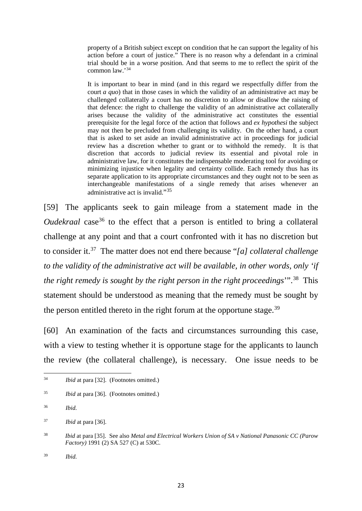property of a British subject except on condition that he can support the legality of his action before a court of justice." There is no reason why a defendant in a criminal trial should be in a worse position. And that seems to me to reflect the spirit of the common law.'[34](#page-22-0)

It is important to bear in mind (and in this regard we respectfully differ from the court *a quo*) that in those cases in which the validity of an administrative act may be challenged collaterally a court has no discretion to allow or disallow the raising of that defence: the right to challenge the validity of an administrative act collaterally arises because the validity of the administrative act constitutes the essential prerequisite for the legal force of the action that follows and *ex hypothesi* the subject may not then be precluded from challenging its validity. On the other hand, a court that is asked to set aside an invalid administrative act in proceedings for judicial review has a discretion whether to grant or to withhold the remedy. It is that discretion that accords to judicial review its essential and pivotal role in administrative law, for it constitutes the indispensable moderating tool for avoiding or minimizing injustice when legality and certainty collide. Each remedy thus has its separate application to its appropriate circumstances and they ought not to be seen as interchangeable manifestations of a single remedy that arises whenever an administrative act is invalid."[35](#page-22-1)

[59] The applicants seek to gain mileage from a statement made in the *Oudekraal* case<sup>[36](#page-22-2)</sup> to the effect that a person is entitled to bring a collateral challenge at any point and that a court confronted with it has no discretion but to consider it.[37](#page-22-3) The matter does not end there because "*[a] collateral challenge to the validity of the administrative act will be available, in other words, only 'if the right remedy is sought by the right person in the right proceedings*'".[38](#page-22-4) This statement should be understood as meaning that the remedy must be sought by the person entitled thereto in the right forum at the opportune stage.<sup>[39](#page-22-5)</sup>

[60] An examination of the facts and circumstances surrounding this case, with a view to testing whether it is opportune stage for the applicants to launch the review (the collateral challenge), is necessary. One issue needs to be

<span id="page-22-0"></span> $34$ *Ibid* at para [32]. (Footnotes omitted.)

<span id="page-22-1"></span><sup>35</sup> *Ibid* at para [36]. (Footnotes omitted.)

<span id="page-22-2"></span><sup>36</sup> *Ibid.*

<span id="page-22-3"></span><sup>37</sup> *Ibid* at para [36].

<span id="page-22-4"></span><sup>38</sup> *Ibid* at para [35]. See also *Metal and Electrical Workers Union of SA v National Panasonic CC (Parow Factory)* 1991 (2) SA 527 (C) at 530C.

<span id="page-22-5"></span><sup>39</sup> *Ibid.*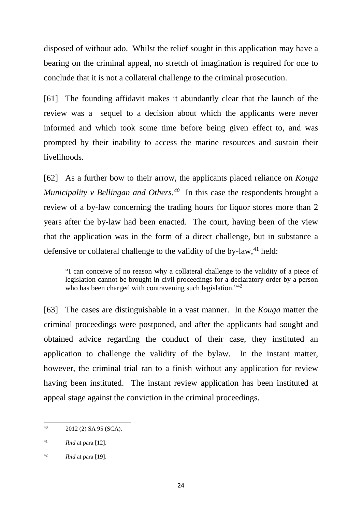disposed of without ado. Whilst the relief sought in this application may have a bearing on the criminal appeal, no stretch of imagination is required for one to conclude that it is not a collateral challenge to the criminal prosecution.

[61] The founding affidavit makes it abundantly clear that the launch of the review was a sequel to a decision about which the applicants were never informed and which took some time before being given effect to, and was prompted by their inability to access the marine resources and sustain their livelihoods.

[62] As a further bow to their arrow, the applicants placed reliance on *Kouga Municipality v Bellingan and Others.<sup>40</sup>* In this case the respondents brought a review of a by-law concerning the trading hours for liquor stores more than 2 years after the by-law had been enacted. The court, having been of the view that the application was in the form of a direct challenge, but in substance a defensive or collateral challenge to the validity of the by-law,  $41$  held:

"I can conceive of no reason why a collateral challenge to the validity of a piece of legislation cannot be brought in civil proceedings for a declaratory order by a person who has been charged with contravening such legislation."<sup>[42](#page-23-2)</sup>

[63] The cases are distinguishable in a vast manner. In the *Kouga* matter the criminal proceedings were postponed, and after the applicants had sought and obtained advice regarding the conduct of their case, they instituted an application to challenge the validity of the bylaw. In the instant matter, however, the criminal trial ran to a finish without any application for review having been instituted. The instant review application has been instituted at appeal stage against the conviction in the criminal proceedings.

<span id="page-23-0"></span> $40 \overline{)}$ 2012 (2) SA 95 (SCA).

<span id="page-23-1"></span><sup>41</sup> *Ibid* at para [12].

<span id="page-23-2"></span><sup>42</sup> *Ibid* at para [19].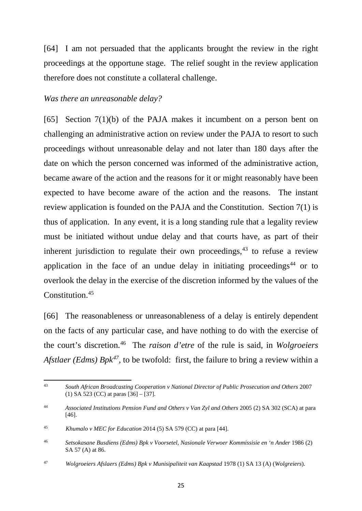[64] I am not persuaded that the applicants brought the review in the right proceedings at the opportune stage. The relief sought in the review application therefore does not constitute a collateral challenge.

### *Was there an unreasonable delay?*

[65] Section 7(1)(b) of the PAJA makes it incumbent on a person bent on challenging an administrative action on review under the PAJA to resort to such proceedings without unreasonable delay and not later than 180 days after the date on which the person concerned was informed of the administrative action, became aware of the action and the reasons for it or might reasonably have been expected to have become aware of the action and the reasons. The instant review application is founded on the PAJA and the Constitution. Section 7(1) is thus of application. In any event, it is a long standing rule that a legality review must be initiated without undue delay and that courts have, as part of their inherent jurisdiction to regulate their own proceedings,  $43$  to refuse a review application in the face of an undue delay in initiating proceedings $44$  or to overlook the delay in the exercise of the discretion informed by the values of the Constitution.[45](#page-24-2)

[66] The reasonableness or unreasonableness of a delay is entirely dependent on the facts of any particular case, and have nothing to do with the exercise of the court's discretion.[46](#page-24-3) The *raison d'etre* of the rule is said, in *Wolgroeiers Afstlaer (Edms) Bpk[47](#page-24-4),* to be twofold: first, the failure to bring a review within a

<span id="page-24-0"></span> $43$ <sup>43</sup> *South African Broadcasting Cooperation v National Director of Public Prosecution and Others* 2007 (1) SA 523 (CC) at paras [36] – [37].

<span id="page-24-1"></span><sup>44</sup> *Associated Institutions Pension Fund and Others v Van Zyl and Others* 2005 (2) SA 302 (SCA) at para [46].

<span id="page-24-2"></span><sup>45</sup> *Khumalo v MEC for Education* 2014 (5) SA 579 (CC) at para [44].

<span id="page-24-3"></span><sup>46</sup> *Setsokasane Busdiens (Edms) Bpk v Voorsetel, Nasionale Verwoer Kommissisie en 'n Ander* 1986 (2) SA 57 (A) at 86.

<span id="page-24-4"></span><sup>47</sup> *Wolgroeiers Afslaers (Edms) Bpk v Munisipaliteit van Kaapstad* 1978 (1) SA 13 (A) (*Wolgreiers*).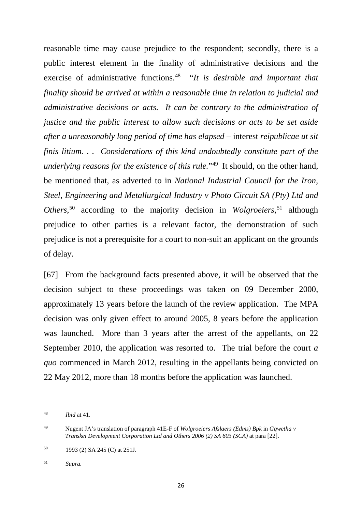reasonable time may cause prejudice to the respondent; secondly, there is a public interest element in the finality of administrative decisions and the exercise of administrative functions.<sup>[48](#page-25-0)</sup> "*It is desirable and important that finality should be arrived at within a reasonable time in relation to judicial and administrative decisions or acts. It can be contrary to the administration of justice and the public interest to allow such decisions or acts to be set aside after a unreasonably long period of time has elapsed –* interest *reipublicae ut sit finis litium. . . Considerations of this kind undoubtedly constitute part of the underlying reasons for the existence of this rule.*<sup>"49</sup> It should, on the other hand, be mentioned that, as adverted to in *National Industrial Council for the Iron, Steel, Engineering and Metallurgical Industry v Photo Circuit SA (Pty) Ltd and Others*, [50](#page-25-2) according to the majority decision in *Wolgroeiers*, [51](#page-25-3) although prejudice to other parties is a relevant factor, the demonstration of such prejudice is not a prerequisite for a court to non-suit an applicant on the grounds of delay.

[67] From the background facts presented above, it will be observed that the decision subject to these proceedings was taken on 09 December 2000, approximately 13 years before the launch of the review application. The MPA decision was only given effect to around 2005, 8 years before the application was launched. More than 3 years after the arrest of the appellants, on 22 September 2010, the application was resorted to. The trial before the court *a quo* commenced in March 2012, resulting in the appellants being convicted on 22 May 2012, more than 18 months before the application was launched.

**.** 

<span id="page-25-0"></span><sup>48</sup> *Ibid* at 41.

<span id="page-25-1"></span><sup>49</sup> Nugent JA's translation of paragraph 41E-F of *Wolgroeiers Afslaers (Edms) Bpk* in *Gqwetha v Transkei Development Corporation Ltd and Others 2006 (2) SA 603 (SCA)* at para [22].

<span id="page-25-2"></span><sup>50</sup> 1993 (2) SA 245 (C) at 251J.

<span id="page-25-3"></span><sup>51</sup> *Supra.*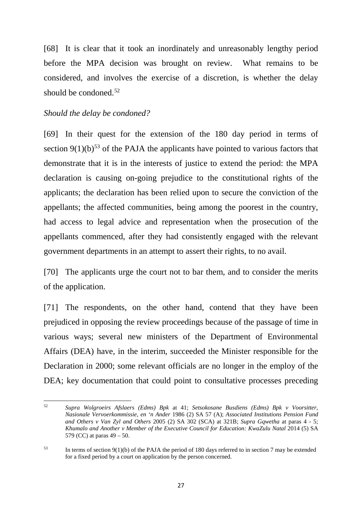[68] It is clear that it took an inordinately and unreasonably lengthy period before the MPA decision was brought on review. What remains to be considered, and involves the exercise of a discretion, is whether the delay should be condoned.<sup>[52](#page-26-0)</sup>

### *Should the delay be condoned?*

[69] In their quest for the extension of the 180 day period in terms of section  $9(1)(b)^{53}$  $9(1)(b)^{53}$  $9(1)(b)^{53}$  of the PAJA the applicants have pointed to various factors that demonstrate that it is in the interests of justice to extend the period: the MPA declaration is causing on-going prejudice to the constitutional rights of the applicants; the declaration has been relied upon to secure the conviction of the appellants; the affected communities, being among the poorest in the country, had access to legal advice and representation when the prosecution of the appellants commenced, after they had consistently engaged with the relevant government departments in an attempt to assert their rights, to no avail.

[70] The applicants urge the court not to bar them, and to consider the merits of the application.

[71] The respondents, on the other hand, contend that they have been prejudiced in opposing the review proceedings because of the passage of time in various ways; several new ministers of the Department of Environmental Affairs (DEA) have, in the interim, succeeded the Minister responsible for the Declaration in 2000; some relevant officials are no longer in the employ of the DEA; key documentation that could point to consultative processes preceding

<span id="page-26-0"></span> $52$ <sup>52</sup> *Supra Wolgroeirs Afslaers (Edms) Bpk* at 41; *Setsokosane Busdiens (Edms) Bpk v Voorsitter, Nasionale Vervoerkommissie, en 'n Ander* 1986 (2) SA 57 (A); *Associated Institutions Pension Fund and Others v Van Zyl and Others* 2005 (2) SA 302 (SCA) at 321B; *Supra Gqwetha* at paras 4 - 5; *Khumalo and Another v Member of the Executive Council for Education: KwaZulu Natal* 2014 (5) SA 579 (CC) at paras 49 – 50.

<span id="page-26-1"></span><sup>&</sup>lt;sup>53</sup> In terms of section  $9(1)(b)$  of the PAJA the period of 180 days referred to in section 7 may be extended for a fixed period by a court on application by the person concerned.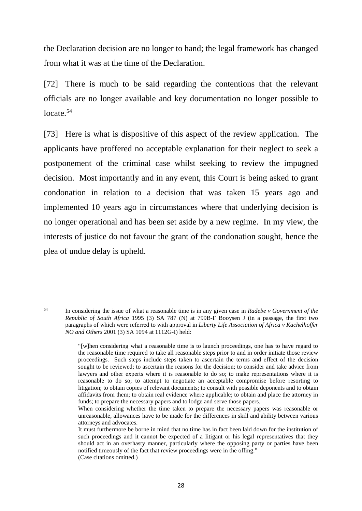the Declaration decision are no longer to hand; the legal framework has changed from what it was at the time of the Declaration.

[72] There is much to be said regarding the contentions that the relevant officials are no longer available and key documentation no longer possible to locate. [54](#page-27-0)

[73] Here is what is dispositive of this aspect of the review application. The applicants have proffered no acceptable explanation for their neglect to seek a postponement of the criminal case whilst seeking to review the impugned decision. Most importantly and in any event, this Court is being asked to grant condonation in relation to a decision that was taken 15 years ago and implemented 10 years ago in circumstances where that underlying decision is no longer operational and has been set aside by a new regime. In my view, the interests of justice do not favour the grant of the condonation sought, hence the plea of undue delay is upheld.

<span id="page-27-0"></span>54

<sup>54</sup> In considering the issue of what a reasonable time is in any given case in *Radebe v Government of the Republic of South Africa* 1995 (3) SA 787 (N) at 799B-F Booysen J (in a passage, the first two paragraphs of which were referred to with approval in *Liberty Life Association of Africa v Kachelhoffer NO and Others* 2001 (3) SA 1094 at 1112G-I) held:

<sup>&</sup>quot;[w]hen considering what a reasonable time is to launch proceedings, one has to have regard to the reasonable time required to take all reasonable steps prior to and in order initiate those review proceedings. Such steps include steps taken to ascertain the terms and effect of the decision sought to be reviewed; to ascertain the reasons for the decision; to consider and take advice from lawyers and other experts where it is reasonable to do so; to make representations where it is reasonable to do so; to attempt to negotiate an acceptable compromise before resorting to litigation; to obtain copies of relevant documents; to consult with possible deponents and to obtain affidavits from them; to obtain real evidence where applicable; to obtain and place the attorney in funds; to prepare the necessary papers and to lodge and serve those papers.

When considering whether the time taken to prepare the necessary papers was reasonable or unreasonable, allowances have to be made for the differences in skill and ability between various attorneys and advocates.

It must furthermore be borne in mind that no time has in fact been laid down for the institution of such proceedings and it cannot be expected of a litigant or his legal representatives that they should act in an overhasty manner, particularly where the opposing party or parties have been notified timeously of the fact that review proceedings were in the offing." (Case citations omitted.)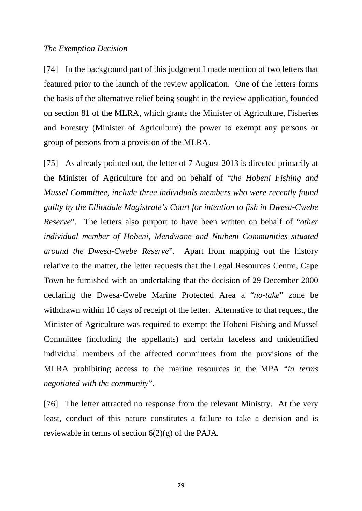### *The Exemption Decision*

[74] In the background part of this judgment I made mention of two letters that featured prior to the launch of the review application. One of the letters forms the basis of the alternative relief being sought in the review application, founded on section 81 of the MLRA, which grants the Minister of Agriculture, Fisheries and Forestry (Minister of Agriculture) the power to exempt any persons or group of persons from a provision of the MLRA.

[75] As already pointed out, the letter of 7 August 2013 is directed primarily at the Minister of Agriculture for and on behalf of "*the Hobeni Fishing and Mussel Committee, include three individuals members who were recently found guilty by the Elliotdale Magistrate's Court for intention to fish in Dwesa-Cwebe Reserve*". The letters also purport to have been written on behalf of "*other individual member of Hobeni, Mendwane and Ntubeni Communities situated around the Dwesa-Cwebe Reserve*". Apart from mapping out the history relative to the matter, the letter requests that the Legal Resources Centre, Cape Town be furnished with an undertaking that the decision of 29 December 2000 declaring the Dwesa-Cwebe Marine Protected Area a "*no-take*" zone be withdrawn within 10 days of receipt of the letter. Alternative to that request, the Minister of Agriculture was required to exempt the Hobeni Fishing and Mussel Committee (including the appellants) and certain faceless and unidentified individual members of the affected committees from the provisions of the MLRA prohibiting access to the marine resources in the MPA "*in terms negotiated with the community*".

[76] The letter attracted no response from the relevant Ministry. At the very least, conduct of this nature constitutes a failure to take a decision and is reviewable in terms of section  $6(2)(g)$  of the PAJA.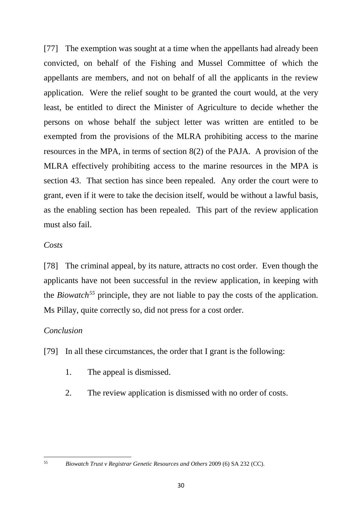[77] The exemption was sought at a time when the appellants had already been convicted, on behalf of the Fishing and Mussel Committee of which the appellants are members, and not on behalf of all the applicants in the review application. Were the relief sought to be granted the court would, at the very least, be entitled to direct the Minister of Agriculture to decide whether the persons on whose behalf the subject letter was written are entitled to be exempted from the provisions of the MLRA prohibiting access to the marine resources in the MPA, in terms of section 8(2) of the PAJA. A provision of the MLRA effectively prohibiting access to the marine resources in the MPA is section 43. That section has since been repealed. Any order the court were to grant, even if it were to take the decision itself, would be without a lawful basis, as the enabling section has been repealed. This part of the review application must also fail.

### *Costs*

[78] The criminal appeal, by its nature, attracts no cost order. Even though the applicants have not been successful in the review application, in keeping with the *Biowatch[55](#page-29-0)* principle, they are not liable to pay the costs of the application. Ms Pillay, quite correctly so, did not press for a cost order.

# *Conclusion*

[79] In all these circumstances, the order that I grant is the following:

- 1. The appeal is dismissed.
- 2. The review application is dismissed with no order of costs.

<span id="page-29-0"></span>55

<sup>55</sup> *Biowatch Trust v Registrar Genetic Resources and Others* 2009 (6) SA 232 (CC).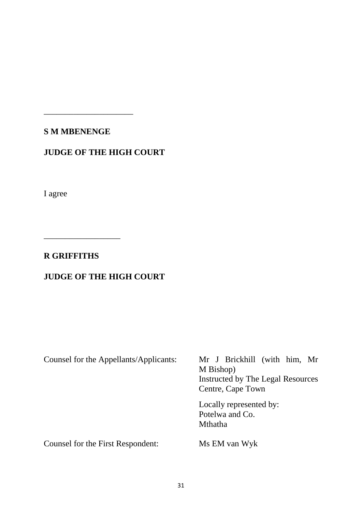# **S M MBENENGE**

\_\_\_\_\_\_\_\_\_\_\_\_\_\_\_\_\_\_\_\_\_

# **JUDGE OF THE HIGH COURT**

I agree

# **R GRIFFITHS**

\_\_\_\_\_\_\_\_\_\_\_\_\_\_\_\_\_\_

# **JUDGE OF THE HIGH COURT**

Counsel for the Appellants/Applicants: Mr J Brickhill (with him, Mr

M Bishop) Instructed by The Legal Resources Centre, Cape Town

Locally represented by: Potelwa and Co. Mthatha

Counsel for the First Respondent: Ms EM van Wyk